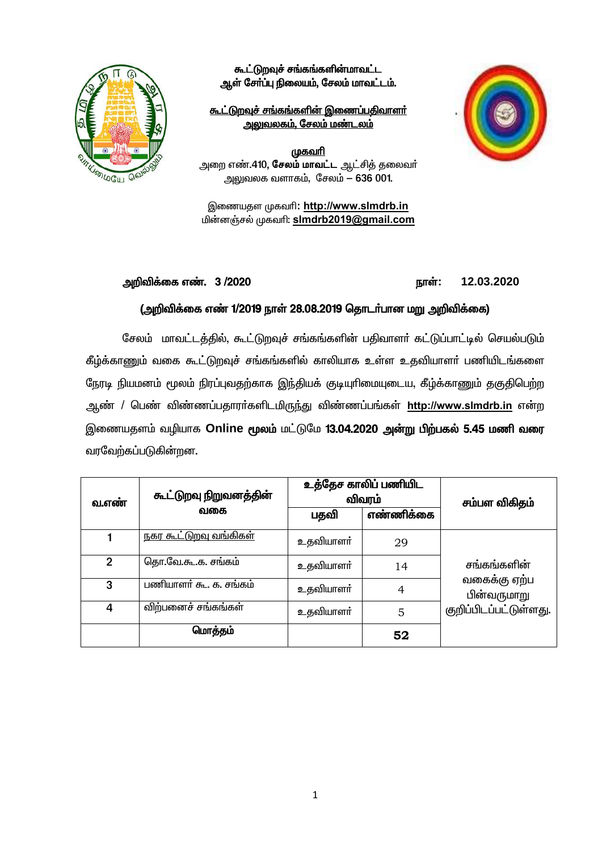

கூட்டுறவுச் சங்கங்களின்மாவட்ட ஆள் சேர்ப்பு நிலையம், சேலம் மாவட்டம்.

## <u> கூட்டுறவுச் சங்கங்களின் இணைப்பதிவாளர்</u> <u>அலுவலகம், சேலம் மண்டலம்</u>

<u>முகவரி</u> அறை எண்.410, **சேலம் மாவட்ட** ஆட்சித் தலைவர் அலுவலக வளாகம், சேலம் - 636 001.

இணையதள முகவரி: http://www.slmdrb.in பின்னஞ்சல் முகவரி: slmdrb2019@gmail.com

#### அறிவிக்கை எண். 3/2020

12.03.2020 நாள்:

## (அறிவிக்கை எண் 1/2019 நாள் 28.08.2019 தொடர்பான மறு அறிவிக்கை)

சேலம் மாவட்டத்தில், கூட்டுறவுச் சங்கங்களின் பதிவாளர் கட்டுப்பாட்டில் செயல்படும் கீழ்க்காணும் வகை கூட்டுறவுச் சங்கங்களில் காலியாக உள்ள உதவியாளா் பணியிடங்களை நேரடி நியமனம் மூலம் நிரப்புவதற்காக இந்தியக் குடியுரிமையுடைய, கீழ்க்காணும் தகுதிபெற்ற ஆண் / பெண் விண்ணப்பதாரா்களிடமிருந்து விண்ணப்பங்கள் http://www.slmdrb.in என்ற இணையதளம் வழியாக Online மூலம் மட்டுமே 13.04.2020 அன்று பிற்பகல் 5.45 மணி வரை வரவேற்கப்படுகின்றன.

| வ.எண்        | கூட்டுறவு நிறுவனத்தின்<br>வகை | உத்தேச காலிப் பணியிட<br>விவரம் |           | சம்பள விகிதம்                                                        |
|--------------|-------------------------------|--------------------------------|-----------|----------------------------------------------------------------------|
|              |                               | பதவி                           | எண்ணிக்கை |                                                                      |
|              | <u>நகர கூட்டுறவு வங்கிகள்</u> | உதவியாளர்                      | 29        |                                                                      |
| $\mathbf{2}$ | தொ.வே.கூ.க. சங்கம்            | உதவியாளர்                      | 14        | சங்கங்களின்<br>வகைக்கு ஏற்ப<br>பின்வருமாறு<br>குறிப்பிடப்பட்டுள்ளது. |
| 3            | பணியாளர் கூ. க. சங்கம்        | உதவியாளர்                      | 4         |                                                                      |
| 4            | விற்பனைச் சங்கங்கள்           | உதவியாளர்                      | 5         |                                                                      |
|              | மொத்தம்                       |                                | 52        |                                                                      |

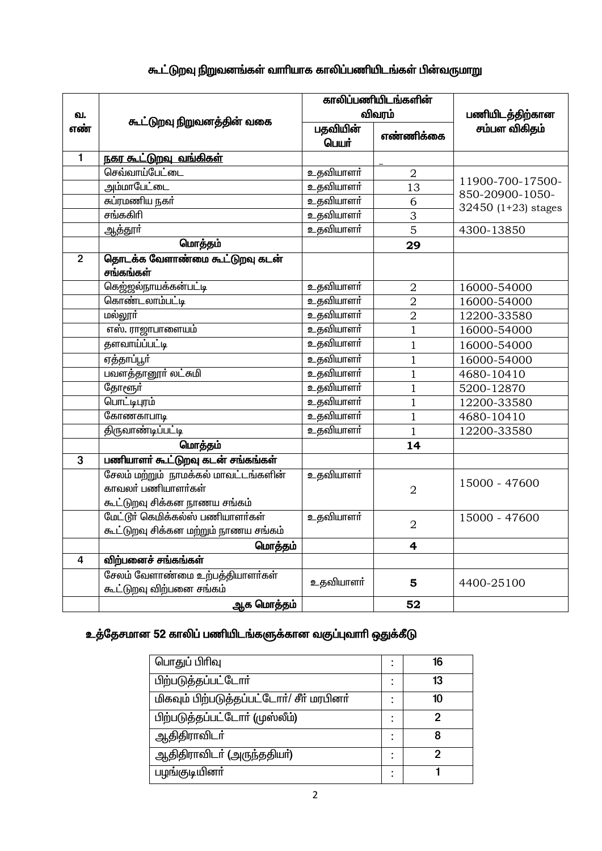| கூட்டுறவு நிறுவனங்கள் வாரியாக காலிப்பணியிடங்கள் பின்வருமாறு |  |  |  |
|-------------------------------------------------------------|--|--|--|
|                                                             |  |  |  |

|                |                                      | காலிப்பணியிடங்களின் |                 |                       |  |
|----------------|--------------------------------------|---------------------|-----------------|-----------------------|--|
| வ.             |                                      | விவரம்              |                 | பணியிடத்திற்கான       |  |
| எண்            | கூட்டுறவு நிறுவனத்தின் வகை           | பதவியின்            |                 | சம்பள விகிதம்         |  |
|                |                                      | பெயர்               | எண்ணிக்கை       |                       |  |
| $\mathbf{1}$   | <u>நகர கூட்டுறவு வங்கிகள்</u>        |                     |                 |                       |  |
|                | செவ்வாய்பேட்டை                       | உதவியாளர்           | $\overline{2}$  |                       |  |
|                | அம்மாபேட்டை                          | உதவியாளர்           | $\overline{13}$ | 11900-700-17500-      |  |
|                | சுப்ரமணிய நகர்                       | உதவியாளர்           | 6               | 850-20900-1050-       |  |
|                | சங்ககிரி                             | உதவியாளர்           | 3               | 32450 $(1+23)$ stages |  |
|                | ஆத்தூர்                              | உதவியாளா்           | $\overline{5}$  | 4300-13850            |  |
|                | மொத்தம்                              |                     | 29              |                       |  |
| $\overline{2}$ | தொடக்க வேளாண்மை கூட்டுறவு கடன்       |                     |                 |                       |  |
|                | சங்கங்கள்                            |                     |                 |                       |  |
|                | கெஜ்ஜல்நாயக்கன்பட்டி                 | உதவியாளர்           | $\overline{2}$  | 16000-54000           |  |
|                | கொண்டலாம்பட்டி                       | உதவியாளர்           | $\overline{2}$  | 16000-54000           |  |
|                | மல்லூர்                              | உதவியாளா்           | $\overline{2}$  | 12200-33580           |  |
|                | எஸ். ராஜாபாளையம்                     | உதவியாளர்           | $\mathbf{1}$    | 16000-54000           |  |
|                | தளவாய்ப்பட்டி                        | உதவியாளர்           | $\mathbf{1}$    | 16000-54000           |  |
|                | ஏத்தாப்பூர்                          | உதவியாளர்           | $\overline{1}$  | 16000-54000           |  |
|                | பவளத்தானூர் லட்சுமி                  | உதவியாளர்           | $\overline{1}$  | 4680-10410            |  |
|                | தோளூர்                               | உதவியாளர்           | $\overline{1}$  | 5200-12870            |  |
|                | பொட்டிபுரம்                          | உதவியாளர்           | $\mathbf{1}$    | 12200-33580           |  |
|                | கோணகாபாடி                            | உதவியாளர்           | $\overline{1}$  | 4680-10410            |  |
|                | <u>திருவாண்டிப்பட்டி</u>             | உதவியாளர்           | $\mathbf{1}$    | 12200-33580           |  |
|                | மொத்தம்                              |                     | 14              |                       |  |
| 3              | பணியாளர் கூட்டுறவு கடன் சங்கங்கள்    |                     |                 |                       |  |
|                | சேலம் மற்றும் நாமக்கல் மாவட்டங்களின் | உதவியாளா்           |                 | 15000 - 47600         |  |
|                | காவலா் பணியாளா்கள்                   |                     | $\overline{2}$  |                       |  |
|                | கூட்டுறவு சிக்கன நாணய சங்கம்         |                     |                 |                       |  |
|                | மேட்டூர் கெமிக்கல்ஸ் பணியாளர்கள்     | உதவியாளர்           | $\overline{2}$  | 15000 - 47600         |  |
|                | கூட்டுறவு சிக்கன மற்றும் நாணய சங்கம் |                     |                 |                       |  |
|                | மொத்தம்                              |                     | 4               |                       |  |
| 4              | விற்பனைச் சங்கங்கள்                  |                     |                 |                       |  |
|                | சேலம் வேளாண்மை உற்பத்தியாளர்கள்      | உதவியாளா்           | 5               | 4400-25100            |  |
|                | கூட்டுறவு விற்பனை சங்கம்             |                     |                 |                       |  |
|                | ஆக மொத்தம்                           |                     | 52              |                       |  |

# உத்தேசமான 52 காலிப் பணியிடங்களுக்கான வகுப்புவாரி ஒதுக்கீடு

| பொதுப் பிரிவு                             |   | 16 |
|-------------------------------------------|---|----|
| பிற்படுத்தப்பட்டோர்                       |   | 13 |
| மிகவும் பிற்படுத்தப்பட்டோர்/ சீர் மரபினர் | ٠ | 10 |
| பிற்படுத்தப்பட்டோர் (முஸ்லீம்)            |   | כי |
| <u>ஆதிதிராவிடர்</u>                       | ٠ | 8  |
| ஆதிதிராவிடா் (அருந்ததியா்)                |   | 2  |
| பழங்குடியினா்                             |   |    |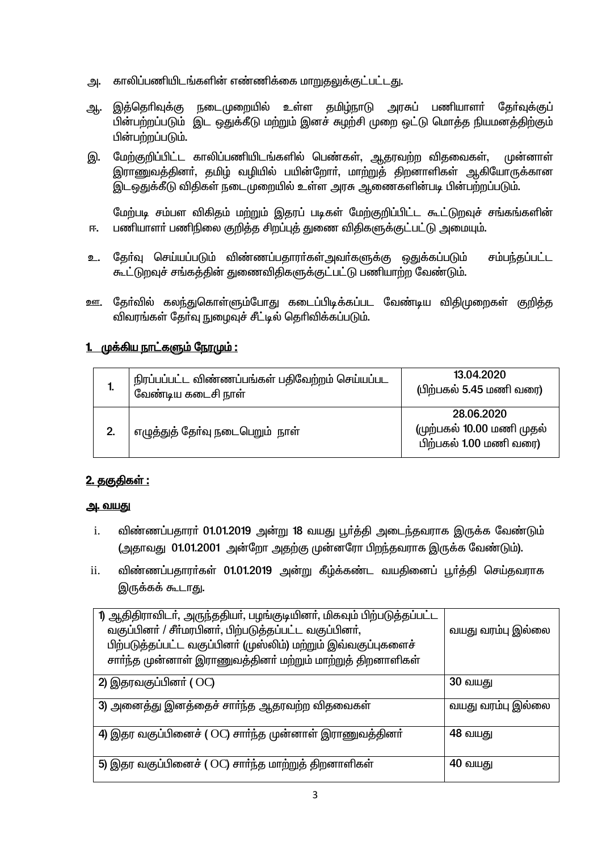- காலிப்பணியிடங்களின் எண்ணிக்கை மாறுதலுக்குட்பட்டது. அ.
- இத்தெரிவுக்கு நடைமுறையில் உள்ள தமிழ்நாடு அரசுப் பணியாளர் தேர்வுக்குப் ஆ. பின்பற்றப்படும் இட ஒதுக்கீடு மற்றும் இனச் சுழற்சி முறை ஒட்டு மொத்த நியமனத்திற்கும் பின்பற்றப்படும்.
- மேற்குறிப்பிட்ட காலிப்பணியிடங்களில் பெண்கள், ஆதரவற்ற விதவைகள், முன்னாள் இ. இராணுவத்தினா், தமிழ் வழியில் பயின்றோா், மாற்றுத் திறனாளிகள் ஆகியோருக்கான இடஒதுக்கீடு விதிகள் நடைமுறையில் உள்ள அரசு ஆணைகளின்படி பின்பற்றப்படும்.

மேற்படி சம்பள விகிதம் மற்றும் இதரப் படிகள் மேற்குறிப்பிட்ட கூட்டுறவுச் சங்கங்களின் பணியாளா் பணிநிலை குறித்த சிறப்புத் துணை விதிகளுக்குட்பட்டு அமையும். 匝.

- தேர்வு செய்யப்படும் விண்ணப்பதாரர்கள்அவர்களுக்கு ஒதுக்கப்படும் சம்பந்தப்பட்ட உ. கூட்டுறவுச் சங்கத்தின் துணைவிதிகளுக்குட்பட்டு பணியாற்ற வேண்டும்.
- ஊ. தேர்வில் கலந்துகொள்ளும்போது கடைப்பிடிக்கப்பட வேண்டிய விதிமுறைகள் குறித்த விவரங்கள் கேர்வு நுழைவுச் சீட்டில் தெரிவிக்கப்படும்.

## <u>1. முக்கிய நாட்களும் நேரமும் :</u>

| ь. | நிரப்பப்பட்ட விண்ணப்பங்கள் பதிவேற்றம் செய்யப்பட<br>வேண்டிய கடைசி நாள் | 13.04.2020<br>(பிற்பகல் 5.45 மணி வரை)                             |
|----|-----------------------------------------------------------------------|-------------------------------------------------------------------|
|    | எழுத்துத் தோ்வு நடைபெறும்  நாள்                                       | 28.06.2020<br>(முற்பகல் 10.00 மணி முதல்<br>பிற்பகல் 1.00 மணி வரை) |

## <u> 2. தகுதிகள் :</u>

## <u>அ. வயது</u>

- $\mathbf{i}$ . விண்ணப்பதாரா் 01.01.2019 அன்று 18 வயது பூா்த்தி அடைந்தவராக இருக்க வேண்டும் (அதாவது 01.01.2001 அன்றோ அதற்கு முன்னரோ பிறந்தவராக இருக்க வேண்டும்).
- $ii.$ விண்ணப்பதாரா்கள் 01.01.2019 அன்று கீழ்க்கண்ட வயதினைப் பூா்த்தி செய்தவராக இருக்கக் கூடாது.

| 1) ஆதிதிராவிடர், அருந்ததியர், பழங்குடியினர், மிகவும் பிற்படுத்தப்பட்ட |                   |
|-----------------------------------------------------------------------|-------------------|
| வகுப்பினா் / சீா்மரபினா், பிற்படுத்தப்பட்ட வகுப்பினா்,                | வயது வரம்பு இல்லை |
| பிற்படுத்தப்பட்ட வகுப்பினா் (முஸ்லிம்) மற்றும் இவ்வகுப்புகளைச்        |                   |
| சாா்ந்த முன்னாள் இராணுவத்தினா் மற்றும் மாற்றுத் திறனாளிகள்            |                   |
| 2) இதரவகுப்பினா் (OC)                                                 | <b>30 வயது</b>    |
| 3) அனைத்து இனத்தைச் சாா்ந்த ஆதரவற்ற விதவைகள்                          | வயது வரம்பு இல்லை |
| 4) இதர வகுப்பினைச் ( OC) சாா்ந்த முன்னாள் இராணுவத்தினா்               | 48 வயது           |
| 5) இதர வகுப்பினைச் ( $\rm OC$ ) சார்ந்த மாற்றுத் திறனாளிகள்           | 40 வயது           |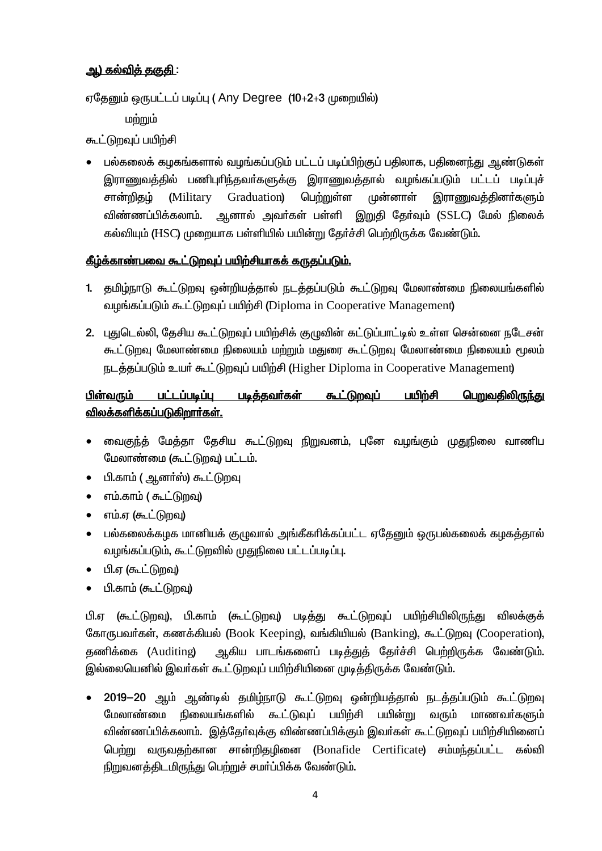## <u>ஆ) கல்விக் ககுகி :</u>

ஏதேனும் ஒருபட்டப் படிப்பு (Any Degree (10+2+3 முறையில்)

மற்றும்

கூட்டுறவுப் பயிற்சி

பல்கலைக் கழகங்களால் வழங்கப்படும் பட்டப் படிப்பிற்குப் பதிலாக, பதினைந்து ஆண்டுகள் இராணுவத்தில் பணிபுரிந்தவா்களுக்கு இராணுவத்தால் வழங்கப்படும் பட்டப் படிப்புச் சான்றிதழ் (Military Graduation) பெற்றுள்ள முன்னாள் இராணுவத்தினா்களும் விண்ணப்பிக்கலாம். அனால் அவர்கள் பள்ளி இறுதி கேர்வும் (SSLC) மேல் நிலைக் கல்வியும் (HSC) முறையாக பள்ளியில் பயின்று தேர்ச்சி பெற்றிருக்க வேண்டும்.

## கீழ்க்காண்பவை கூட்டுறவுப் பயிற்சியாகக் கருதப்படும்.

- 1. தமிழ்நாடு கூட்டுறவு ஒன்றியத்தால் நடத்தப்படும் கூட்டுறவு மேலாண்மை நிலையங்களில் வழங்கப்படும் கூட்டுறவுப் பயிற்சி (Diploma in Cooperative Management)
- 2. புதுடெல்லி, தேசிய கூட்டுறவுப் பயிற்சிக் குமுவின் கட்டுப்பாட்டில் உள்ள சென்னை நடேசன் கூட்டுறவு மேலாண்மை நிலையம் மற்றும் மதுரை கூட்டுறவு மேலாண்மை நிலையம் மூலம் நடத்தப்படும் உயர் கூட்டுறவுப் பயிற்சி (Higher Diploma in Cooperative Management)

#### பின்வரும் பட்டப்படிப்ப படித்தவர்கள் கூட்டுறவுப் பயிற்சி பெறுவதிலிருந்து <u>விலக்களிக்கப்படுகிறார்கள்.</u>

- வைகுந்த் மேத்தா தேசிய கூட்டுறவு நிறுவனம், புனே வழங்கும் முதுநிலை வாணிப  $\bullet$ மேலாண்மை (கூட்டுறவு) பட்டம்.
- பி.காம் ( ஆனர்ஸ்) கூட்டுறவு
- எம்.காம் ( கூட்டுறவு)  $\bullet$
- எம்.ஏ (கூட்டுறவு)  $\bullet$
- பல்கலைக்கமக மானியக் குமுவால் அங்கீகரிக்கப்பட்ட ஏதேனும் ஒருபல்கலைக் கமகத்தால் வழங்கப்படும், கூட்டுறவில் முதுநிலை பட்டப்படிப்பு.
- பி.ஏ (கூட்டுறவு)  $\bullet$
- பி.காம் (கூட்டுறவு)  $\bullet$

<u>பி.ஏ (கூட்டுறவு), பி.காம் (கூட்டுறவு) படித்து கூட்டுறவுப் பயிற்சியிலிருந்து</u> விலக்குக் கோருபவர்கள், கணக்கியல் (Book Keeping), வங்கியியல் (Banking), கூட்டுறவு (Cooperation), ஆகிய பாடங்களைப் படித்துத் தேர்ச்சி பெற்றிருக்க வேண்டும். கணிக்கை (Auditing) இல்லையெனில் இவர்கள் கூட்டுறவுப் பயிற்சியினை முடித்திருக்க வேண்டும்.

2019-20 ஆம் ஆண்டில் தமிழ்நாடு கூட்டுறவு ஒன்றியத்தால் நடத்தப்படும் கூட்டுறவு நிலையங்களில் கூட்டுவுப் பயிற்சி பயின்று வரும் மாணவர்களும் பேலாண்மை விண்ணப்பிக்கலாம். இத்தேர்வுக்கு விண்ணப்பிக்கும் இவர்கள் கூட்டுறவுப் பயிற்சியினைப் பெற்று வருவதற்கான சான்றிதழினை (Bonafide Certificate) சம்மந்தப்பட்ட கல்வி நிறுவனத்திடமிருந்து பெற்றுச் சமர்ப்பிக்க வேண்டும்.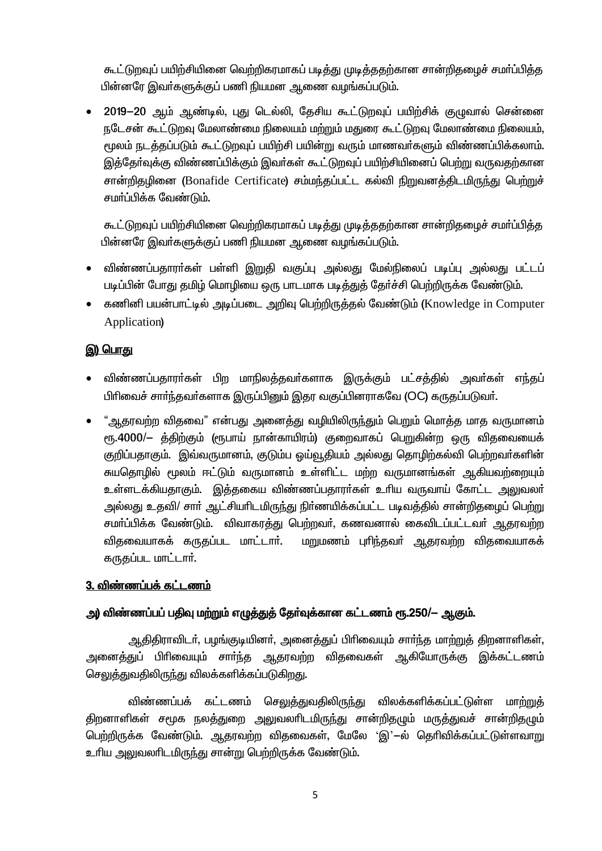கூட்டுறவுப் பயிற்சியினை வெற்றிகரமாகப் படித்து முடித்ததற்கான சான்றிதமைச் சமர்ப்பித்த பின்னரே இவர்களுக்குப் பணி நியமன ஆணை வழங்கப்படும்.

2019-20 ஆம் ஆண்டில், புது டெல்லி, தேசிய கூட்டுறவுப் பயிற்சிக் குழுவால் சென்னை நடேசன் கூட்டுறவு மேலாண்மை நிலையம் மற்றும் மதுரை கூட்டுறவு மேலாண்மை நிலையம், மூலம் நடத்தப்படும் கூட்டுறவுப் பயிற்சி பயின்று வரும் மாணவர்களும் விண்ணப்பிக்கலாம். இத்தேர்வுக்கு விண்ணப்பிக்கும் இவர்கள் கூட்டுறவுப் பயிற்சியினைப் பெற்று வருவதற்கான சான்றிதழினை (Bonafide Certificate) சம்மந்தப்பட்ட கல்வி நிறுவனத்திடமிருந்து பெற்றுச் சமாப்பிக்க வேண்டும்.

கூட்டுறவுப் பயிற்சியினை வெற்றிகரமாகப் படித்து முடித்ததற்கான சான்றிதழைச் சமா்ப்பித்த பின்னரே இவர்களுக்குப் பணி நியமன ஆணை வழங்கப்படும்.

- விண்ணப்பதாரா்கள் பள்ளி இறுதி வகுப்பு அல்லது மேல்நிலைப் படிப்பு அல்லது பட்டப்  $\bullet$ படிப்பின் போது தமிழ் மொழியை ஒரு பாடமாக படித்துத் தேர்ச்சி பெற்றிருக்க வேண்டும்.
- கணினி பயன்பாட்டில் அடிப்படை அறிவு பெற்றிருக்குல் வேண்டும் (Knowledge in Computer Application)

## இ) பொது

- விண்ணப்பதாரா்கள் பிற மாநிலத்தவா்களாக இருக்கும் பட்சத்தில் அவா்கள் எந்தப் பிரிவைச் சார்ந்தவர்களாக இருப்பினும் இதர வகுப்பினராகவே (OC) கருதப்படுவர்.
- "ஆதரவற்ற விதவை" என்பது அனைத்து வழியிலிருந்தும் பெறும் மொத்த மாத வருமானம் ரூ.4000/— த்திற்கும் (ரூபாய் நான்காயிரம்) குறைவாகப் பெறுகின்ற ஒரு விதவையைக் குறிப்பதாகும். இவ்வருமானம், குடும்ப ஒய்வூதியம் அல்லது தொழிற்கல்வி பெற்றவர்களின் சுயதொழில் மூலம் ஈட்டும் வருமானம் உள்ளிட்ட மற்ற வருமானங்கள் ஆகியவற்றையும் உள்ளடக்கியதாகும். இத்தகைய விண்ணப்பதாரா்கள் உரிய வருவாய் கோட்ட அலுவலா் அல்லது உதவி/ சார் ஆட்சியரிடமிருந்து நிர்ணயிக்கப்பட்ட படிவத்தில் சான்றிதழைப் பெற்று சமா்ப்பிக்க வேண்டும். விவாகரத்து பெற்றவா், கணவனால் கைவிடப்பட்டவா் ஆதரவற்ற விதவையாகக் கருதப்பட மாட்டாா். மறுமணம் புரிந்தவா் ஆதரவற்ற விதவையாகக் கருதப்பட மாட்டார்.

## 3. விண்ணப்பக் கட்டணம்

## அ) விண்ணப்பப் பதிவு மற்றும் எழுத்துத் தேர்வுக்கான கட்டணம் ரூ.250/— ஆகும்.

ஆதிதிராவிடர், பழங்குடியினர், அனைத்துப் பிரிவையும் சார்ந்த மாற்றுத் திறனாளிகள், அனைத்துப் பிரிவையும் சாா்்ந்த ஆதரவற்ற விதவைகள் ஆகியோருக்கு இக்கட்டணம் செலுத்துவதிலிருந்து விலக்களிக்கப்படுகிறது.

விண்ணப்பக் கட்டணம் செலுத்துவதிலிருந்து விலக்களிக்கப்பட்டுள்ள மாற்றுத் திறனாளிகள் சமூக நலத்துறை அலுவலாிடமிருந்து சான்றிதழும் மருத்துவச் சான்றிதழும் பெற்றிருக்க வேண்டும். ஆதரவற்ற விதவைகள், மேலே 'இ'—ல் தெரிவிக்கப்பட்டுள்ளவாறு உரிய அலுவலரிடமிருந்து சான்று பெற்றிருக்க வேண்டும்.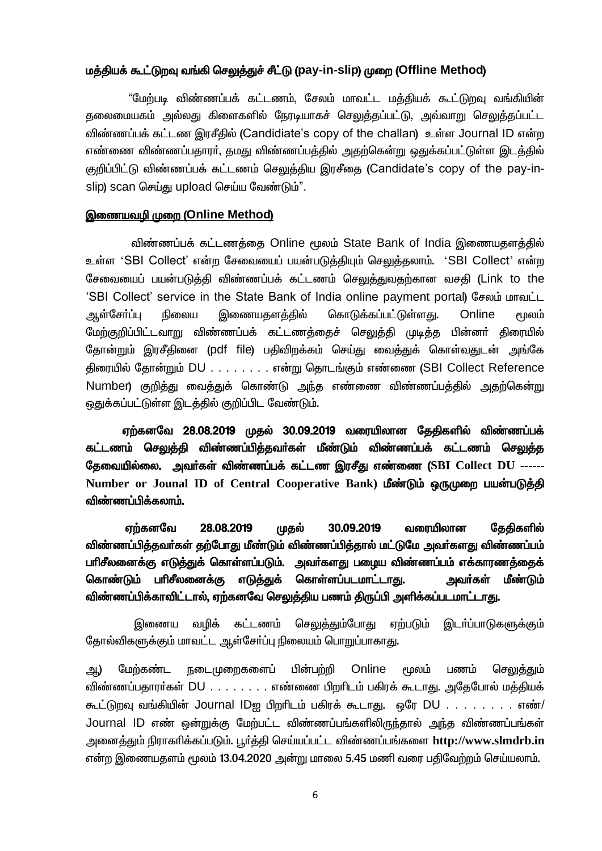#### மத்தியக் கூட்டுறவு வங்கி செலுத்துச் சீட்டு (pay-in-slip) முறை (Offline Method)

"மேற்படி விண்ணப்பக் கட்டணம், சேலம் மாவட்ட மத்தியக் கூட்டுறவு வங்கியின் தலைமையகம் அல்லது கிளைகளில் நேரடியாகச் செலுத்தப்பட்டு, அவ்வாறு செலுத்தப்பட்ட விண்ணப்பக் கட்டண இரசீதில் (Candidiate's copy of the challan) உள்ள Journal ID என்ற எண்ணை விண்ணப்பதாரா், தமது விண்ணப்பத்தில் அதற்கென்று ஒதுக்கப்பட்டுள்ள இடத்தில் குறிப்பிட்டு விண்ணப்பக் கட்டணம் செலுத்திய இரசீதை (Candidate's copy of the pay-inslip) scan செய்கு upload செய்ய வேண்டும்".

#### இணையவழி முறை (Online Method)

விண்ணப்பக் கட்டணத்தை Online மூலம் State Bank of India இணையதளத்தில் உள்ள 'SBI Collect' என்ற சேவையைப் பயன்படுத்தியும் செலுத்தலாம். 'SBI Collect' என்ற சேவையைப் பயன்படுத்தி விண்ணப்பக் கட்டணம் செலுத்துவதற்கான வசதி (Link to the 'SBI Collect' service in the State Bank of India online payment portal) சேலம் மாவட்ட ஆள்சோப்பு நிலைய இணையகளக்கில் கொடுக்கப்பட்டுள்ளது. Online மூலம் மேற்குறிப்பிட்டவாறு விண்ணப்பக் கட்டணக்கைச் செலுக்கி முடிக்க பின்னர் கிரையில் தோன்றும் இரசீதினை (pdf file) பதிவிறக்கம் செய்து வைத்துக் கொள்வதுடன் அங்கே திரையில் தோன்றும் DU . . . . . . . . என்று தொடங்கும் எண்ணை (SBI Collect Reference Number) குறித்து வைத்துக் கொண்டு அந்த எண்ணை விண்ணப்பத்தில் அதற்கென்று ஒதுக்கப்பட்டுள்ள இடத்தில் குறிப்பிட வேண்டும்.

ஏற்கனவே 28.08.2019 முதல் 30.09.2019 வரையிலான தேதிகளில் விண்ணப்பக் கட்டணம் செலுத்தி விண்ணப்பித்தவர்கள் மீண்டும் விண்ணப்பக் கட்டணம் செ<u>லு</u>த்த தேவையில்லை. அவர்கள் விண்ணப்பக் கட்டண இரசீது எண்ணை (SBI Collect DU ------Number or Jounal ID of Central Cooperative Bank) மீண்டும் ஒருமுறை பயன்படுத்தி விண்ணப்பிக்கலாம்.

28.08.2019 30.09.2019 வரையிலான தேதிகளில் எர்கனவே முதல் விண்ணப்பித்தவர்கள் தற்போது மீண்டும் விண்ணப்பித்தால் மட்டுமே அவர்களது விண்ணப்பம் பரிசீலனைக்கு எடுத்துக் கொள்ளப்படும். அவர்களது பழைய விண்ணப்பம் எக்காரணத்தைக் கொண்டும் பரிசீலனைக்கு எடுத்துக் கொள்ளப்படமாட்டாது. அவர்கள் மீண்டும் விண்ணப்பிக்காவிட்டால், ஏற்கனவே செலுத்திய பணம் திருப்பி அளிக்கப்படமாட்டாது.

இணைய வழிக் கட்டணம் ச<u>ெலுத்த</u>ும்போது ஏற்படும் இடா்ப்பாடுகளுக்கும் தோல்விகளுக்கும் மாவட்ட ஆள்சோ்ப்பு நிலையம் பொறுப்பாகாது.

Online மேற்கண்ட நடைமுறைகளைப் பின்பற்றி **பூலம்** பணம் செலுக்கும் அ.) விண்ணப்பதாரா்கள் DU . . . . . . . . எண்ணை பிறாிடம் பகிரக் கூடாது. அதேபோல் மத்தியக் கூட்டுறவு வங்கியின் Journal IDஐ பிறரிடம் பகிரக் கூடாது. ஒரே DU . . . . . . . . எண்/ Journal ID எண் ஒன்றுக்கு மேற்பட்ட விண்ணப்பங்களிலிருந்தால் அந்த விண்ணப்பங்கள் அனைத்தும் நிராகரிக்கப்படும். பூர்த்தி செய்யப்பட்ட விண்ணப்பங்களை http://www.slmdrb.in\_ என்ற இணையதளம் மூலம் 13.04.2020 அன்று மாலை 5.45 மணி வரை பதிவேற்றம் செய்யலாம்.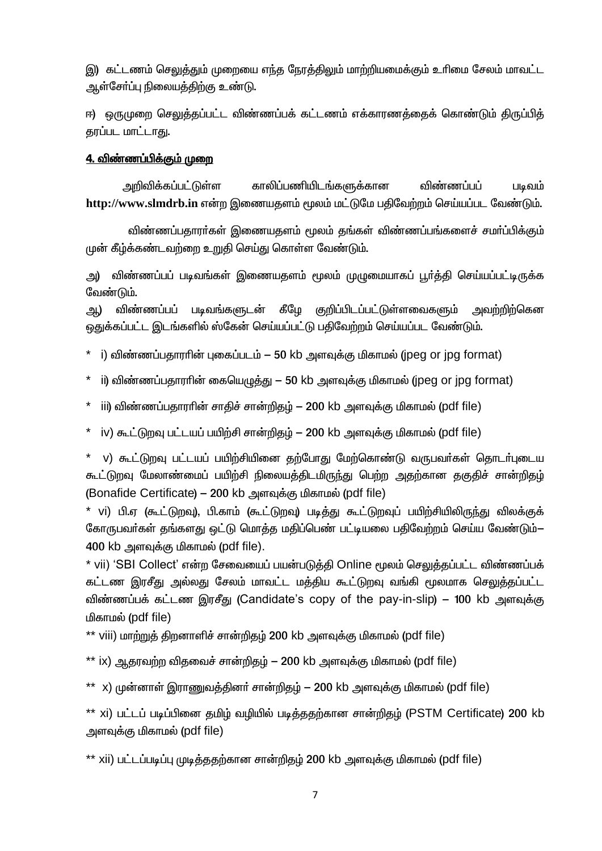இ) கட்டணம் செலுத்தும் முறையை எந்த நேரத்திலும் மாற்றியமைக்கும் உரிமை சேலம் மாவட்ட ஆள்சோ்ப்பு நிலையத்திற்கு உண்டு.

ஈ) ஒருமுறை செலுத்தப்பட்ட விண்ணப்பக் கட்டணம் எக்காரணத்தைக் கொண்டும் திருப்பித் தரப்பட மாட்டாது.

## <u>4. விண்ணப்பிக்கும் முறை</u>

அறிவிக்கப்பட்டுள்ள காலிப்பணியிடங்களுக்கான விண்ணப்பப் படிவம் http://www.slmdrb.in என்ற இணையதளம் மூலம் மட்டுமே பதிவேற்றம் செய்யப்பட வேண்டும்.

விண்ணப்பதாரா்கள் இணையதளம் மூலம் தங்கள் விண்ணப்பங்களைச் சமா்ப்பிக்கும் முன் கீழ்க்கண்டவற்றை உறுதி செய்து கொள்ள வேண்டும்.

விண்ணப்பப் படிவங்கள் இணையகளம் மூலம் முமுமையாகப் பூர்த்தி செய்யப்பட்டிருக்க அ) வேண்டும்.

படிவங்களுடன் கீழே குறிப்பிடப்பட்டுள்ளவைகளும் அவற்றிற்கென விண்ணப்பப் அட) கைக்கப்பட்ட இடங்களில் ஸ்கேன் செய்யப்பட்டு பகிவேற்றம் செய்யப்பட வேண்டும்.

- i) விண்ணப்பதாரரின் புகைப்படம் 50 kb அளவுக்கு மிகாமல் (ipeg or ipg format)
- ii) விண்ணப்பதாரரின் கையெழுத்து 50 kb அளவுக்கு மிகாமல் (jpeg or jpg format)
- iii) விண்ணப்பதாராின் சாதிச் சான்றிதழ் 200 kb அளவுக்கு மிகாமல் (pdf file)
- \* iv) கூட்டுறவு பட்டயப் பயிற்சி சான்றிதழ் 200 kb அளவுக்கு மிகாமல் (pdf file)

\* v) கூட்டுறவு பட்டயப் பயிற்சியினை தற்போது மேற்கொண்டு வருபவர்கள் தொடர்புடைய கூட்டுறவு மேலாண்மைப் பயிற்சி நிலையத்திடமிருந்து பெற்ற அதற்கான தகுதிச் சான்றிதழ் (Bonafide Certificate) – 200 kb அளவக்கு மிகாமல் (pdf file)

\* vi) பி.ஏ (கூட்டுறவு), பி.காம் (கூட்டுறவு) படித்து கூட்டுறவுப் பயிற்சியிலிருந்து விலக்குக் கோருபவர்கள் தங்களது ஒட்டு மொத்த மதிப்பெண் பட்டியலை பதிவேற்றம் செய்ய வேண்டும்— 400 kb அளவுக்கு மிகாமல் (pdf file).

\* vii) 'SBI Collect' என்ற சேவையைப் பயன்படுத்தி Online மூலம் செலுத்தப்பட்ட விண்ணப்பக் கட்டண இரசீது அல்லது சேலம் மாவட்ட மக்கிய கூட்டுறவு வங்கி மூலமாக செலுக்கப்பட்ட விண்ணப்பக் கட்டண இரசீது (Candidate's copy of the pay-in-slip) – 100 kb அளவுக்கு மிகாமல் (pdf file)

\*\* viii) மாற்றுத் திறனாளிச் சான்றிதம் 200 kb அளவுக்கு மிகாமல் (pdf file)

\*\* ix) ஆதரவற்ற விதவைச் சான்றிதழ் — 200 kb அளவுக்கு மிகாமல் (pdf file)

\*\* x) முன்னாள் இராணுவத்தினர் சான்றிதம் — 200 kb அளவுக்கு மிகாமல் (pdf file)

\*\* xi) பட்டப் படிப்பினை கமிம் வமியில் படிக்கதற்கான சான்றிகம் (PSTM Certificate) 200 kb அளவுக்கு மிகாமல் (pdf file)

\*\* xii) பட்டப்படிப்பு முடித்ததற்கான சான்றிதம் 200 kb அளவுக்கு மிகாமல் (pdf file)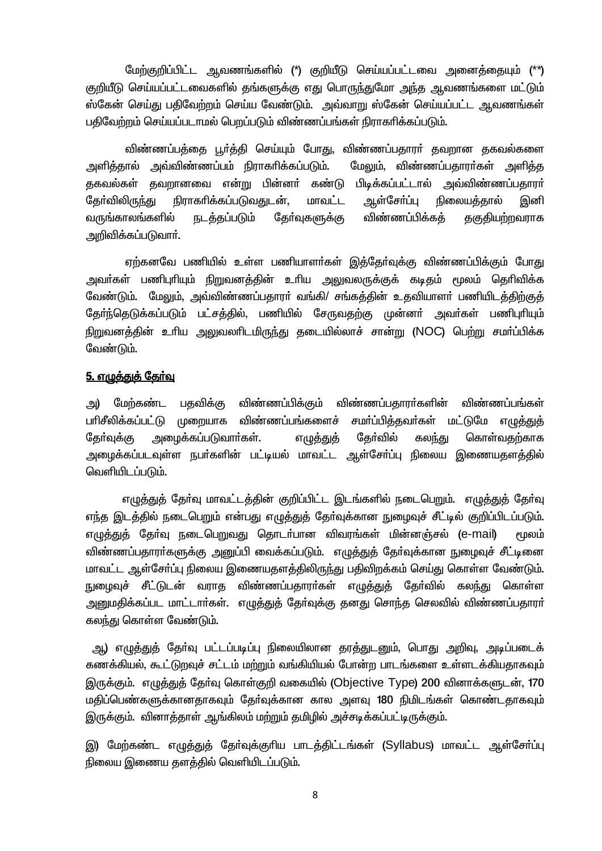மேற்குறிப்பிட்ட ஆவணங்களில் (\*) குறியீடு செய்யப்பட்டவை அனைத்தையும் (\*\*) குறியீடு செய்யப்பட்டவைகளில் தங்களுக்கு எது பொருந்துமோ அந்த ஆவணங்களை மட்டும் ஸ்கேன் செய்து பதிவேற்றம் செய்ய வேண்டும். அவ்வாறு ஸ்கேன் செய்யப்பட்ட ஆவணங்கள் பதிவேற்றம் செய்யப்படாமல் பெறப்படும் விண்ணப்பங்கள் நிராகரிக்கப்படும்.

விண்ணப்பத்தை பூர்த்தி செய்யும் போது, விண்ணப்பதாரர் தவறான தகவல்களை அளித்தால் அவ்விண்ணப்பம் நிராகரிக்கப்படும். மேலும், விண்ணப்பகாரா்கள் அளிக்க குகவல்கள் கவறானவை என்று பின்னர் கண்டு பிடிக்கப்பட்டால் அவ்விண்ணப்பகாரர் கேர்விலிரு<u>ந்</u>து நிராகரிக்கப்படுவதுடன், மாவட்ட ஆள்சோ்ப்பு நிலையக்கால் இனி வருங்காலங்களில் கோ்வகளுக்கு விண்ணப்பிக்கக் <u>குகுகியற்றவராக</u> <u>நடக்கப்படும்</u> அறிவிக்கப்படுவாா்.

ஏற்கனவே பணியில் உள்ள பணியாளர்கள் இத்தேர்வுக்கு விண்ணப்பிக்கும் போது அவா்கள் பணிபுாியும் நிறுவனத்தின் உாிய அலுவலருக்குக் கடிதம் மூலம் தொிவிக்க வேண்டும். மேலும், அவ்விண்ணப்பதாரா் வங்கி/ சங்கத்தின் உதவியாளா் பணியிடத்திற்குத் தோர்ந்தெடுக்கப்படும் பட்சத்தில், பணியில் சேருவதற்கு முன்னா் அவா்கள் பணிபுாியும் நிறுவனத்தின் உரிய அலுவலரிடமிருந்து தடையில்லாச் சான்று (NOC) பெற்று சமா்ப்பிக்க வேண்டும்.

#### <u>5. எழுத்துத் தேர்வு</u>

அ) மேற்கண்ட பகவிக்கு விண்ணப்பிக்கும் விண்ணப்பதாரா்களின் விண்ணப்பங்கள் சமா்ப்பித்தவா்கள் மட்டுமே எழுத்துத் பரிசீலிக்கப்பட்டு முறையாக விண்ணப்பங்களைச் அமைக்கப்படுவார்கள். எழுத்துத் கேர்வில் கொள்வகற்காக கேர்வுக்கு கலந்து அமைக்கப்படவுள்ள நபர்களின் பட்டியல் மாவட்ட ஆள்சோ்ப்பு நிலைய இணையகளக்கில் வெளியிடப்படும்.

எழுத்துத் தேர்வு மாவட்டத்தின் குறிப்பிட்ட இடங்களில் நடைபெறும். எழுத்துத் தேர்வு எந்த இடத்தில் நடைபெறும் என்பது எழுத்துத் தேர்வுக்கான நுழைவுச் சீட்டில் குறிப்பிடப்படும். எமுத்துத் தேர்வு நடைபெறுவது தொடர்பான விவரங்கள் மின்னஞ்சல் (e-mail) <u> சமலம்</u> விண்ணப்பதாரா்களுக்கு அனுப்பி வைக்கப்படும். எழுத்துத் தோ்வுக்கான நுழைவுச் சீட்டினை மாவட்ட ஆள்சோ்ப்பு நிலைய இணையதளத்திலிருந்து பதிவிறக்கம் செய்து கொள்ள வேண்டும். நுழைவுச் சீட்டுடன் வராத விண்ணப்பதாரர்கள் எழுத்துத் தேர்வில் கலந்து கொள்ள <u>அனுமதிக்கப்பட மாட்டார்கள். எழுத்துத்</u> தேர்வுக்கு தனது சொந்த செலவில் விண்ணப்பதாரர். கலந்து கொள்ள வேண்டும்.

அ) எழுத்துத் தேர்வு பட்டப்படிப்பு நிலையிலான தரத்துடனும், பொது அறிவு, அடிப்படைக் கணக்கியல், கூட்டுறவுச் சட்டம் மற்றும் வங்கியியல் போன்ற பாடங்களை உள்ளடக்கியதாகவும் இருக்கும். எழுத்துத் தேர்வு கொள்குறி வகையில் (Objective Type) 200 வினாக்களுடன், 170 மதிப்பெண்களுக்கானதாகவும் தோ்வுக்கான கால அளவு 180 நிமிடங்கள் கொண்டதாகவும் இருக்கும். வினாத்தாள் ஆங்கிலம் மற்றும் தமிழில் அச்சடிக்கப்பட்டிருக்கும்.

இ) மேற்கண்ட எழுத்துத் தேர்வுக்குரிய பாடத்திட்டங்கள் (Syllabus) மாவட்ட ஆள்சேர்ப்பு நிலைய இணைய தளத்தில் வெளியிடப்படும்.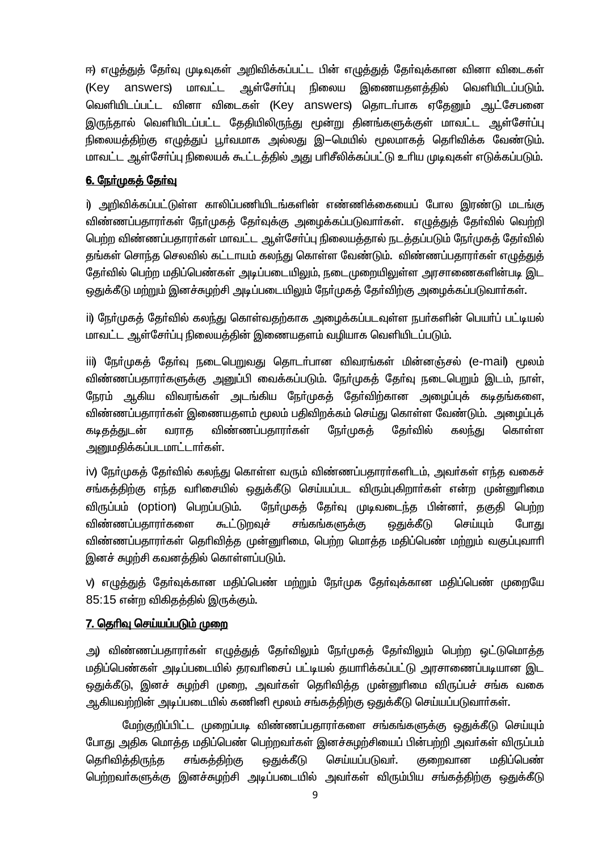ஈ) எழுத்துத் தேர்வு முடிவுகள் அறிவிக்கப்பட்ட பின் எழுத்துத் தேர்வுக்கான வினா விடைகள் ஆள்சோ்ப்பு நிலைய (Key answers) மாவட்ட இணையதளத்தில் வெளியிடப்படும். வெளியிடப்பட்ட வினா விடைகள் (Key answers) தொடர்பாக ஏதேனும் ஆட்சேபனை இருந்தால் வெளியிடப்பட்ட தேதியிலிருந்து மூன்று தினங்களுக்குள் மாவட்ட ஆள்சோ்ப்பு நிலையத்திற்கு எழுத்துப் பூர்வமாக அல்லது இ—மெயில் மூலமாகத் தெரிவிக்க வேண்டும். மாவட்ட ஆள்சோ்ப்பு நிலையக் கூட்டக்கில் அது பாிசீலிக்கப்பட்டு உரிய முடிவுகள் எடுக்கப்படும்.

## <u>6. நேர்முகத் தேர்வு</u>

i) அறிவிக்கப்பட்டுள்ள காலிப்பணியிடங்களின் எண்ணிக்கையைப் போல இரண்டு மடங்கு விண்ணப்பதாரா்கள் நோ்முகத் தோ்வுக்கு அழைக்கப்படுவாா்கள். எழுத்துத் தோ்வில் வெற்றி பெற்ற விண்ணப்பதாரர்கள் மாவட்ட ஆள்சேர்ப்பு நிலையத்தால் நடத்தப்படும் நேர்முகத் தேர்வில் தங்கள் சொந்த செலவில் கட்டாயம் கலந்து கொள்ள வேண்டும். விண்ணப்பதாரா்கள் எழுத்துத் தேர்வில் பெற்ற மதிப்பெண்கள் அடிப்படையிலும், நடைமுறையிலுள்ள அரசாணைகளின்படி இட ஒதுக்கீடு மற்றும் இனச்சுழற்சி அடிப்படையிலும் நேர்முகத் தேர்விற்கு அழைக்கப்படுவார்கள்.

ii) நேர்முகத் தேர்வில் கலந்து கொள்வதற்காக அழைக்கப்படவுள்ள நபர்களின் பெயர்ப் பட்டியல் மாவட்ட ஆள்சோ்ப்பு நிலையத்தின் இணையதளம் வழியாக வெளியிடப்படும்.

iii) நேர்முகத் தேர்வு நடைபெறுவது தொடர்பான விவரங்கள் மின்னஞ்சல் (e-mail) மூலம் விண்ணப்பதாரா்களுக்கு அனுப்பி வைக்கப்படும். நோ்முகத் தோ்வு நடைபெறும் இடம், நாள், நேரம் ஆகிய விவரங்கள் அடங்கிய நோ்முகத் தோ்விற்கான அழைப்புக் கடிதங்களை, விண்ணப்பதாரா்கள் இணையதளம் மூலம் பதிவிறக்கம் செய்து கொள்ள வேண்டும். அமைப்புக் கடிகத்துடன் விண்ணப்பதாரா்கள் ரேர்முக**க்** கேர்வில் கொள்ள வராகு கலந்து அனுமதிக்கப்படமாட்டார்கள்.

iv) நோ்முகத் தோ்வில் கலந்து கொள்ள வரும் விண்ணப்பதாரா்களிடம், அவா்கள் எந்த வகைச் சங்கத்திற்கு எந்த வரிசையில் ஒதுக்கீடு செய்யப்பட விரும்புகிறார்கள் என்ற முன்னுரிமை விருப்பம் (option) பெறப்படும். நேர்முகத் தேர்வு முடிவடைந்த பின்னர், தகுதி பெற்ற விண்ணப்பதாரா்களை ௬ட்டுறவுச் சங்கங்களுக்கு ஒதுக்கீடு செய்யும் போது விண்ணப்பதாரா்கள் தெரிவித்த முன்னுரிமை, பெற்ற மொத்த மதிப்பெண் மற்றும் வகுப்புவாரி இனச் சுமற்சி கவனக்கில் கொள்ளப்படும்.

ν) எழுத்துத் தோ்வுக்கான மதிப்பெண் மற்றும் நோ்முக தோ்வுக்கான மதிப்பெண் முறையே 85:15 என்ற விகிதத்தில் இருக்கும்.

## <u> 7. தெரிவு செய்யப்படும் முறை</u>

அ) விண்ணப்பதாரா்கள் எழுத்துத் தோ்விலும் நோ்முகத் தோ்விலும் பெற்ற ஒட்டுமொத்த மதிப்பெண்கள் அடிப்படையில் தரவரிசைப் பட்டியல் தயாரிக்கப்பட்டு அரசாணைப்படியான இட ஒதுக்கீடு, இனச் சுழற்சி முறை, அவர்கள் தெரிவித்த முன்னுரிமை விருப்பச் சங்க வகை ஆகியவற்றின் அடிப்படையில் கணினி மூலம் சங்கக்கிற்கு தைக்கீடு செய்யப்படுவார்கள்.

மேற்குறிப்பிட்ட முறைப்படி விண்ணப்பதாரா்களை சங்கங்களுக்கு ஒதுக்கீடு செய்யும் போது அதிக மொத்த மதிப்பெண் பெற்றவர்கள் இனச்சுழற்சியைப் பின்பற்றி அவர்கள் விருப்பம் தெரிவி**க்**கிருந்த சங்கக்கிற்கு <u>ஒது</u>க்கீடு செய்யப்படுவா். குறைவான மகிப்பெண் பெற்றவர்களுக்கு இனச்சுமற்சி அடிப்படையில் அவர்கள் விரும்பிய சங்கக்கிற்கு ஒதுக்கீடு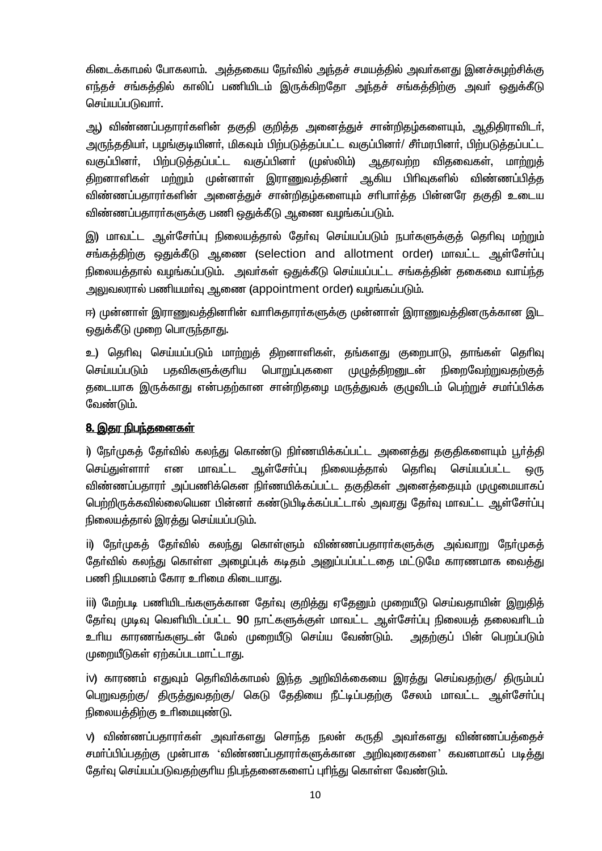கிடைக்காமல் போகலாம். அத்தகைய நேர்வில் அந்தச் சமயத்தில் அவர்களது இனச்சுழற்சிக்கு எந்தச் சங்கத்தில் காலிப் பணியிடம் இருக்கிறதோ அந்தச் சங்கத்திற்கு அவா் ஒதுக்கீடு செய்யப்படுவார்.

ஆ) விண்ணப்பதாரா்களின் தகுதி குறித்த அனைத்துச் சான்றிதழ்களையும், <u>ஆ</u>திதிராவிடா், அருந்ததியா், பழங்குடியினா், மிகவும் பிற்படுத்தப்பட்ட வகுப்பினா்/ சீா்மரபினா், பிற்படுத்தப்பட்ட வகுப்பினா். பிற்படுத்தப்பட்ட வகுப்பினா் (முஸ்லிம்) ஆதரவற்ற விகவைகள். மாற்றுக் திறனாளிகள் மற்றும் முன்னாள் இராணுவத்தினா் ஆகிய பிாிவுகளில் விண்ணப்பித்த விண்ணப்பதாரா்களின் அனைத்துச் சான்றிதம்களையும் சாிபாா்த்த பின்னரே தகுதி உடைய விண்ணப்பதாரா்களுக்கு பணி ஒதுக்கீடு ஆணை வழங்கப்படும்.

இ) மாவட்ட ஆள்சோ்ப்பு நிலையத்தால் தோ்வு செய்யப்படும் நபா்களுக்குத் தொிவு மற்றும் சங்கத்திற்கு ஒதுக்கீடு ஆணை (selection and allotment order) மாவட்ட ஆள்சோ்ப்பு நிலையத்தால் வழங்கப்படும். அவர்கள் ஒதுக்கீடு செய்யப்பட்ட சங்கத்தின் தகைமை வாய்ந்த அலுவலரால் பணியமா்வு ஆணை (appointment order) வழங்கப்படும்.

ஈ) முன்னாள் இராணுவத்தினாின் வாாிசுதாரா்களுக்கு முன்னாள் இராணுவத்தினருக்கான இட ஒதுக்கீடு முறை பொருந்தாது.

உ) தெரிவு செய்யப்படும் மாற்றுத் திறனாளிகள், தங்களது குறைபாடு, தாங்கள் தெரிவு பதவிகளுக்குரிய பொறுப்புகளை செய்யப்படும் முழுத்திறனுடன் ரிறைவேற்றுவகற்கு<del>க்</del> தடையாக இருக்காது என்பதற்கான சான்றிதழை மருத்துவக் குழுவிடம் பெற்றுச் சமா்ப்பிக்க வேண்டும்.

## 8. இதர நிபந்தனைகள்

i) நோ்முகத் தோ்வில் கலந்து கொண்டு நிா்ணயிக்கப்பட்ட அனைத்து தகுதிகளையும் பூா்த்தி ஆள்சோ்ப்பு செய்துள்ளாா் என மாவட்ட நிலையத்தால் தெரிவு செய்யப்பட்ட ஒரு விண்ணப்பதாரா் அப்பணிக்கென நிா்ணயிக்கப்பட்ட தகுதிகள் அனைத்தையும் முழுமையாகப் பெற்றிருக்கவில்லையென பின்னா் கண்டுபிடிக்கப்பட்டால் அவரது தோ்வு மாவட்ட ஆள்சோ்ப்பு நிலையத்தால் இரத்து செய்யப்படும்.

ii) நோ்முகத் தோ்வில் கலந்து கொள்ளும் விண்ணப்பதாரா்களுக்கு அவ்வாறு நோ்முகத் தேர்வில் கலந்து கொள்ள அழைப்புக் கடிதம் அனுப்பப்பட்டதை மட்டுமே காரணமாக வைத்து பணி நியமனம் கோர உரிமை கிடையாது.

iii) மேற்படி பணியிடங்களுக்கான தேர்வு குறித்து ஏதேனும் முறையீடு செய்வதாயின் இறுதித் தேர்வு முடிவு வெளியிடப்பட்ட 90 நாட்களுக்குள் மாவட்ட ஆள்சேர்ப்பு நிலையத் தலைவரிடம் உரிய காரணங்களுடன் மேல் முறையீடு செய்ய வேண்டும். அதற்குப் பின் பெறப்படும் முறையீடுகள் ஏற்கப்படமாட்டாது.

iv) காரணம் எதுவும் தெரிவிக்காமல் இந்த அறிவிக்கையை இரத்து செய்வதற்கு/ திரும்பப் பெறுவதற்கு/ திருத்துவதற்கு/ கெடு தேதியை நீட்டிப்பதற்கு சேலம் மாவட்ட ஆள்சோ்ப்பு நிலையத்திற்கு உரிமையுண்டு.

v) விண்ணப்பதாரா்கள் அவா்களது சொந்த நலன் கருதி அவா்களது விண்ணப்பத்தைச் சமா்ப்பிப்பதற்கு முன்பாக 'விண்ணப்பதாரா்களுக்கான அறிவுரைகளை' கவனமாகப் படித்து தேர்வு செய்யப்படுவதற்குரிய நிபந்தனைகளைப் புரிந்து கொள்ள வேண்டும்.